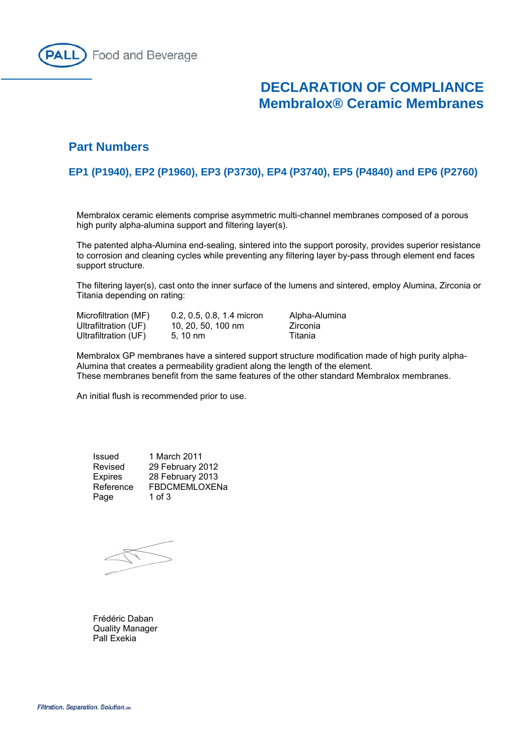

# **DECLARATION OF COMPLIANCE Membralox® Ceramic Membranes**

## **Part Numbers**

## **EP1 (P1940), EP2 (P1960), EP3 (P3730), EP4 (P3740), EP5 (P4840) and EP6 (P2760)**

Membralox ceramic elements comprise asymmetric multi-channel membranes composed of a porous high purity alpha-alumina support and filtering layer(s).

The patented alpha-Alumina end-sealing, sintered into the support porosity, provides superior resistance to corrosion and cleaning cycles while preventing any filtering layer by-pass through element end faces support structure.

The filtering layer(s), cast onto the inner surface of the lumens and sintered, employ Alumina, Zirconia or Titania depending on rating:

| Microfiltration (MF) | 0.2, 0.5, 0.8, 1.4 micron | Alpha-Alumina |
|----------------------|---------------------------|---------------|
| Ultrafiltration (UF) | 10, 20, 50, 100 nm        | Zirconia      |
| Ultrafiltration (UF) | $5.10 \text{ nm}$         | Titania       |

Membralox GP membranes have a sintered support structure modification made of high purity alpha-Alumina that creates a permeability gradient along the length of the element. These membranes benefit from the same features of the other standard Membralox membranes.

An initial flush is recommended prior to use.

| Issued         | 1 March 2011     |
|----------------|------------------|
| Revised        | 29 February 2012 |
| <b>Expires</b> | 28 February 2013 |
| Reference      | FBDCMEMLOXENa    |
| Page           | 1 of $3$         |

 Frédéric Daban Quality Manager Pall Exekia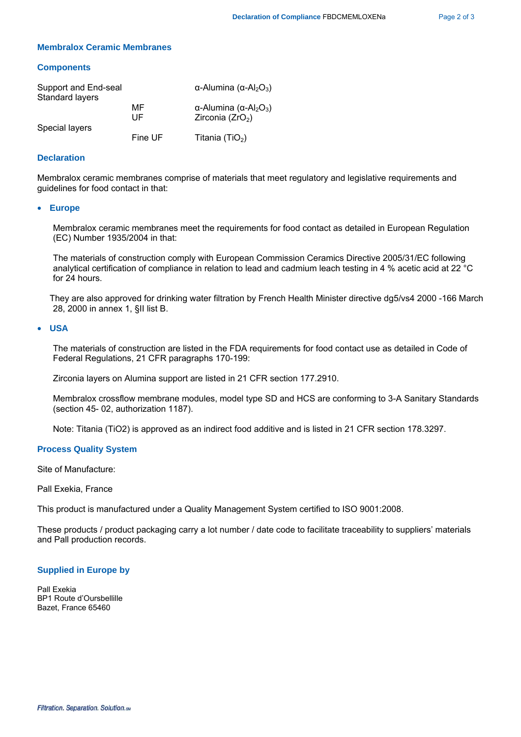#### **Membralox Ceramic Membranes**

#### **Components**

| Support and End-seal<br>Standard layers |          | α-Alumina (α-Al <sub>2</sub> O <sub>3</sub> )                      |
|-----------------------------------------|----------|--------------------------------------------------------------------|
| Special layers                          | MF<br>UF | α-Alumina (α-Al <sub>2</sub> O <sub>3</sub> )<br>Zirconia $(ZrO2)$ |
|                                         | Fine UF  | Titania (TiO <sub>2</sub> )                                        |

### **Declaration**

Membralox ceramic membranes comprise of materials that meet regulatory and legislative requirements and guidelines for food contact in that:

#### • **Europe**

Membralox ceramic membranes meet the requirements for food contact as detailed in European Regulation (EC) Number 1935/2004 in that:

 The materials of construction comply with European Commission Ceramics Directive 2005/31/EC following analytical certification of compliance in relation to lead and cadmium leach testing in 4 % acetic acid at 22 °C for 24 hours.

 They are also approved for drinking water filtration by French Health Minister directive dg5/vs4 2000 -166 March 28, 2000 in annex 1, §II list B.

#### • **USA**

The materials of construction are listed in the FDA requirements for food contact use as detailed in Code of Federal Regulations, 21 CFR paragraphs 170-199:

Zirconia layers on Alumina support are listed in 21 CFR section 177.2910.

Membralox crossflow membrane modules, model type SD and HCS are conforming to 3-A Sanitary Standards (section 45- 02, authorization 1187).

Note: Titania (TiO2) is approved as an indirect food additive and is listed in 21 CFR section 178.3297.

#### **Process Quality System**

Site of Manufacture:

Pall Exekia, France

This product is manufactured under a Quality Management System certified to ISO 9001:2008.

These products / product packaging carry a lot number / date code to facilitate traceability to suppliers' materials and Pall production records.

#### **Supplied in Europe by**

Pall Exekia BP1 Route d'Oursbellille Bazet, France 65460